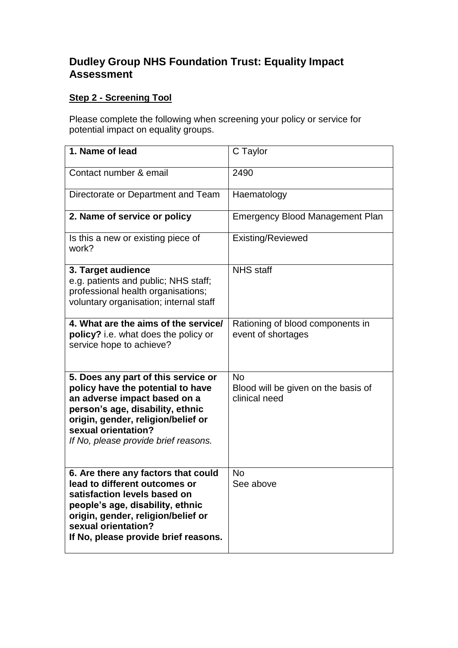## **Dudley Group NHS Foundation Trust: Equality Impact Assessment**

## **Step 2 - Screening Tool**

Please complete the following when screening your policy or service for potential impact on equality groups.

| 1. Name of lead                                                                                                                                                                                                                                   | C Taylor                                                          |
|---------------------------------------------------------------------------------------------------------------------------------------------------------------------------------------------------------------------------------------------------|-------------------------------------------------------------------|
| Contact number & email                                                                                                                                                                                                                            | 2490                                                              |
| Directorate or Department and Team                                                                                                                                                                                                                | Haematology                                                       |
| 2. Name of service or policy                                                                                                                                                                                                                      | <b>Emergency Blood Management Plan</b>                            |
| Is this a new or existing piece of<br>work?                                                                                                                                                                                                       | Existing/Reviewed                                                 |
| 3. Target audience<br>e.g. patients and public; NHS staff;<br>professional health organisations;<br>voluntary organisation; internal staff                                                                                                        | <b>NHS</b> staff                                                  |
| 4. What are the aims of the service/<br>policy? i.e. what does the policy or<br>service hope to achieve?                                                                                                                                          | Rationing of blood components in<br>event of shortages            |
| 5. Does any part of this service or<br>policy have the potential to have<br>an adverse impact based on a<br>person's age, disability, ethnic<br>origin, gender, religion/belief or<br>sexual orientation?<br>If No, please provide brief reasons. | <b>No</b><br>Blood will be given on the basis of<br>clinical need |
| 6. Are there any factors that could<br>lead to different outcomes or<br>satisfaction levels based on<br>people's age, disability, ethnic<br>origin, gender, religion/belief or<br>sexual orientation?<br>If No, please provide brief reasons.     | <b>No</b><br>See above                                            |